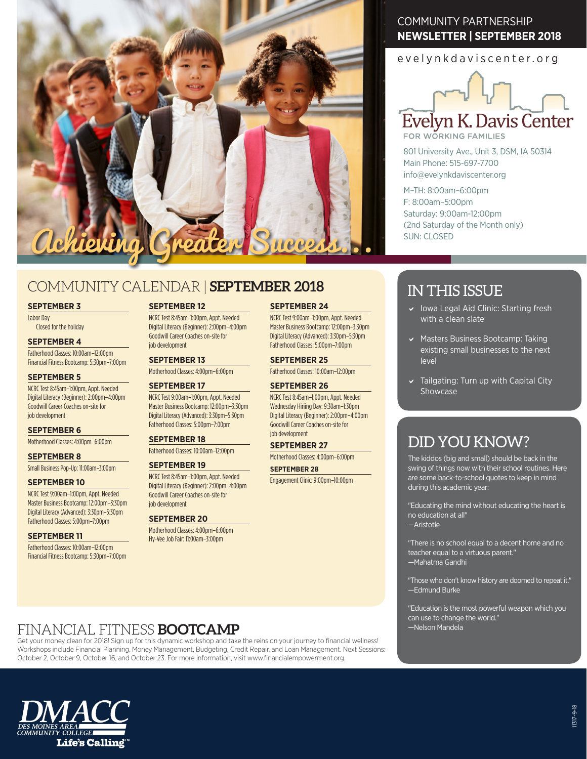

# COMMUNITY CALENDAR | **SEPTEMBER 2018**

#### **SEPTEMBER 3**

Labor Day Closed for the holiday

### **SEPTEMBER 4**

Fatherhood Classes: 10:00am–12:00pm Financial Fitness Bootcamp: 5:30pm–7:00pm

### **SEPTEMBER 5**

NCRC Test 8:45am–1:00pm, Appt. Needed Digital Literacy (Beginner): 2:00pm–4:00pm Goodwill Career Coaches on-site for job development

#### **SEPTEMBER 6**

Motherhood Classes: 4:00pm–6:00pm

#### **SEPTEMBER 8**

Small Business Pop-Up: 11:00am–3:00pm

### **SEPTEMBER 10**

NCRC Test 9:00am-1:00pm, Appt. Needed Master Business Bootcamp: 12:00pm–3:30pm Digital Literacy (Advanced): 3:30pm–5:30pm Fatherhood Classes: 5:00pm–7:00pm

### **SEPTEMBER 11**

Fatherhood Classes: 10:00am–12:00pm Financial Fitness Bootcamp: 5:30pm–7:00pm

### **SEPTEMBER 12**

NCRC Test 8:45am–1:00pm, Appt. Needed Digital Literacy (Beginner): 2:00pm–4:00pm Goodwill Career Coaches on-site for job development

### **SEPTEMBER 13**

Motherhood Classes: 4:00pm–6:00pm

#### **SEPTEMBER 17**

### NCRC Test 9:00am–1:00pm, Appt. Needed Master Business Bootcamp: 12:00pm–3:30pm

Digital Literacy (Advanced): 3:30pm–5:30pm Fatherhood Classes: 5:00pm–7:00pm

### **SEPTEMBER 18**

Fatherhood Classes: 10:00am–12:00pm

### **SEPTEMBER 19**

NCRC Test 8:45am–1:00pm, Appt. Needed Digital Literacy (Beginner): 2:00pm–4:00pm Goodwill Career Coaches on-site for job development

### **SEPTEMBER 20**

Motherhood Classes: 4:00pm–6:00pm Hy-Vee Job Fair: 11:00am–3:00pm

### COMMUNITY PARTNERSHIP **NEWSLETTER | SEPTEMBER 2018**

evelynkdaviscenter.org



FOR WORKING FAMILIES

801 University Ave., Unit 3, DSM, IA 50314 Main Phone: 515-697-7700 info@evelynkdaviscenter.org

M–TH: 8:00am–6:00pm F: 8:00am–5:00pm Saturday: 9:00am-12:00pm (2nd Saturday of the Month only) SUN: CLOSED

# IN THIS ISSUE

- $\vee$  Iowa Legal Aid Clinic: Starting fresh with a clean slate
- $\vee$  Masters Business Bootcamp: Taking existing small businesses to the next level
- $\triangleright$  Tailgating: Turn up with Capital City Showcase

# DID YOU KNOW?

The kiddos (big and small) should be back in the swing of things now with their school routines. Here are some back-to-school quotes to keep in mind during this academic year:

"Educating the mind without educating the heart is no education at all" —Aristotle

"There is no school equal to a decent home and no teacher equal to a virtuous parent." —Mahatma Gandhi

"Those who don't know history are doomed to repeat it." —Edmund Burke

"Education is the most powerful weapon which you can use to change the world." —Nelson Mandela

### FINANCIAL FITNESS **BOOTCAMP**

Get your money clean for 2018! Sign up for this dynamic workshop and take the reins on your journey to financial wellness! Workshops include Financial Planning, Money Management, Budgeting, Credit Repair, and Loan Management. Next Sessions: October 2, October 9, October 16, and October 23. For more information, visit www.financialempowerment.org.



NCRC Test 8:45am–1:00pm, Appt. Needed Wednesday Hiriing Day: 9:30am–1:30pm Digital Literacy (Beginner): 2:00pm–4:00pm Goodwill Career Coaches on-site for

# job development

**SEPTEMBER 26**

**SEPTEMBER 24**

NCRC Test 9:00am–1:00pm, Appt. Needed Master Business Bootcamp: 12:00pm–3:30pm Digital Literacy (Advanced): 3:30pm–5:30pm Fatherhood Classes: 5:00pm–7:00pm **SEPTEMBER 25** Fatherhood Classes: 10:00am–12:00pm

**SEPTEMBER 27** Motherhood Classes: 4:00pm–6:00pm

### **SEPTEMBER 28**

Engagement Clinic: 9:00pm–10:00pm